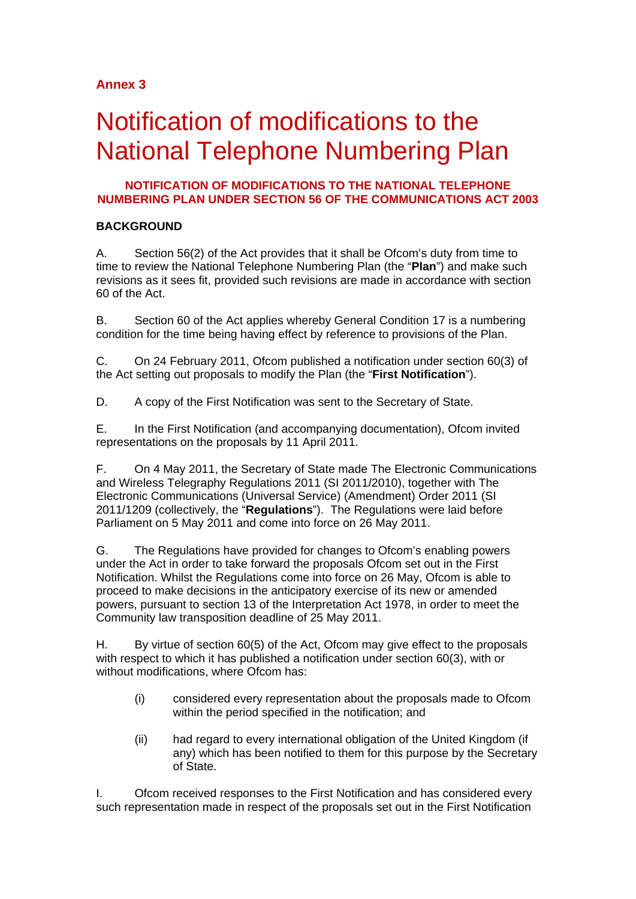# **Annex 3**

# Notification of modifications to the National Telephone Numbering Plan

### **NOTIFICATION OF MODIFICATIONS TO THE NATIONAL TELEPHONE NUMBERING PLAN UNDER SECTION 56 OF THE COMMUNICATIONS ACT 2003**

## **BACKGROUND**

A. Section 56(2) of the Act provides that it shall be Ofcom's duty from time to time to review the National Telephone Numbering Plan (the "**Plan**") and make such revisions as it sees fit, provided such revisions are made in accordance with section 60 of the Act.

B. Section 60 of the Act applies whereby General Condition 17 is a numbering condition for the time being having effect by reference to provisions of the Plan.

C. On 24 February 2011, Ofcom published a notification under section 60(3) of the Act setting out proposals to modify the Plan (the "**First Notification**").

D. A copy of the First Notification was sent to the Secretary of State.

E. In the First Notification (and accompanying documentation), Ofcom invited representations on the proposals by 11 April 2011.

F. On 4 May 2011, the Secretary of State made The Electronic Communications and Wireless Telegraphy Regulations 2011 (SI 2011/2010), together with The Electronic Communications (Universal Service) (Amendment) Order 2011 (SI 2011/1209 (collectively, the "**Regulations**"). The Regulations were laid before Parliament on 5 May 2011 and come into force on 26 May 2011.

G. The Regulations have provided for changes to Ofcom's enabling powers under the Act in order to take forward the proposals Ofcom set out in the First Notification. Whilst the Regulations come into force on 26 May, Ofcom is able to proceed to make decisions in the anticipatory exercise of its new or amended powers, pursuant to section 13 of the Interpretation Act 1978, in order to meet the Community law transposition deadline of 25 May 2011.

H. By virtue of section 60(5) of the Act, Ofcom may give effect to the proposals with respect to which it has published a notification under section 60(3), with or without modifications, where Ofcom has:

- (i) considered every representation about the proposals made to Ofcom within the period specified in the notification; and
- (ii) had regard to every international obligation of the United Kingdom (if any) which has been notified to them for this purpose by the Secretary of State.

I. Ofcom received responses to the First Notification and has considered every such representation made in respect of the proposals set out in the First Notification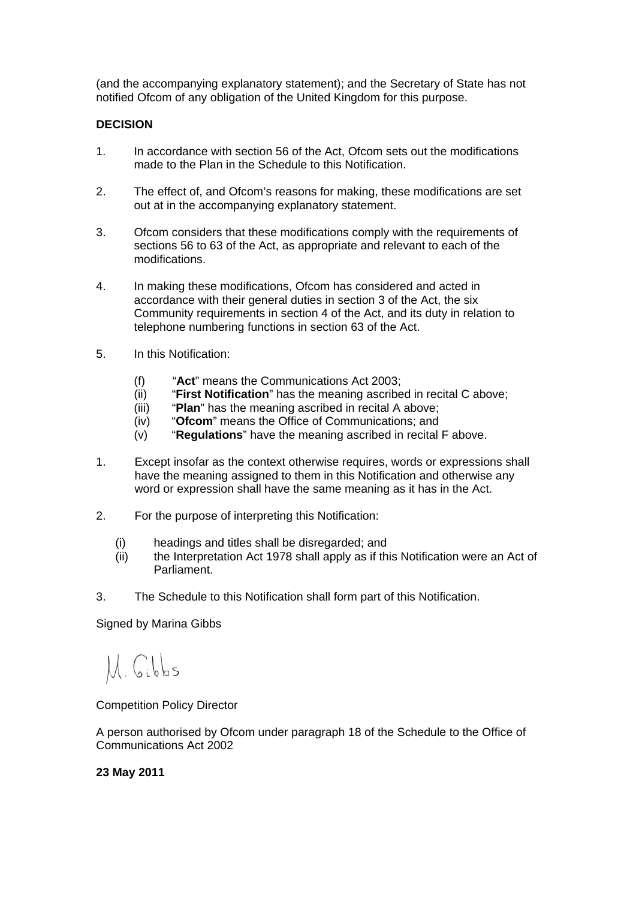(and the accompanying explanatory statement); and the Secretary of State has not notified Ofcom of any obligation of the United Kingdom for this purpose.

#### **DECISION**

- 1. In accordance with section 56 of the Act, Ofcom sets out the modifications made to the Plan in the Schedule to this Notification.
- 2. The effect of, and Ofcom's reasons for making, these modifications are set out at in the accompanying explanatory statement.
- 3. Ofcom considers that these modifications comply with the requirements of sections 56 to 63 of the Act, as appropriate and relevant to each of the modifications.
- 4. In making these modifications, Ofcom has considered and acted in accordance with their general duties in section 3 of the Act, the six Community requirements in section 4 of the Act, and its duty in relation to telephone numbering functions in section 63 of the Act.
- 5. In this Notification:
	- (f) "**Act**" means the Communications Act 2003;
	- (ii) "**First Notification**" has the meaning ascribed in recital C above;
	- (iii) "**Plan**" has the meaning ascribed in recital A above;
	- (iv) "**Ofcom**" means the Office of Communications; and
	- (v) "**Regulations**" have the meaning ascribed in recital F above.
- 1. Except insofar as the context otherwise requires, words or expressions shall have the meaning assigned to them in this Notification and otherwise any word or expression shall have the same meaning as it has in the Act.
- 2. For the purpose of interpreting this Notification:
	- (i) headings and titles shall be disregarded; and
	- (ii) the Interpretation Act 1978 shall apply as if this Notification were an Act of Parliament.
- 3. The Schedule to this Notification shall form part of this Notification.

Signed by Marina Gibbs

M. Gibbs

Competition Policy Director

A person authorised by Ofcom under paragraph 18 of the Schedule to the Office of Communications Act 2002

#### **23 May 2011**